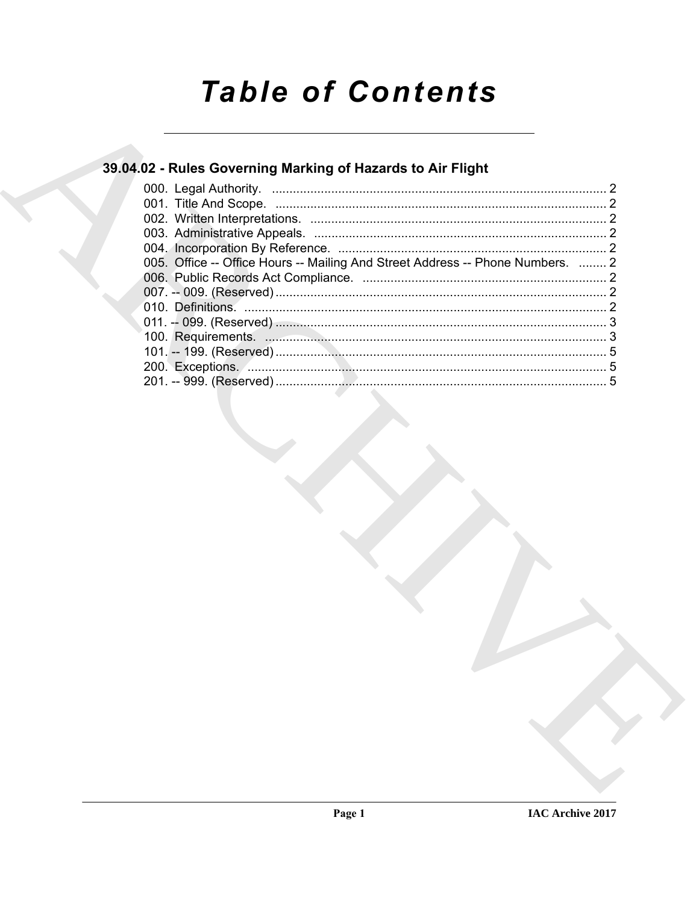# **Table of Contents**

# 39.04.02 - Rules Governing Marking of Hazards to Air Flight

| 005. Office -- Office Hours -- Mailing And Street Address -- Phone Numbers.  2 |  |
|--------------------------------------------------------------------------------|--|
|                                                                                |  |
|                                                                                |  |
|                                                                                |  |
|                                                                                |  |
|                                                                                |  |
|                                                                                |  |
|                                                                                |  |
|                                                                                |  |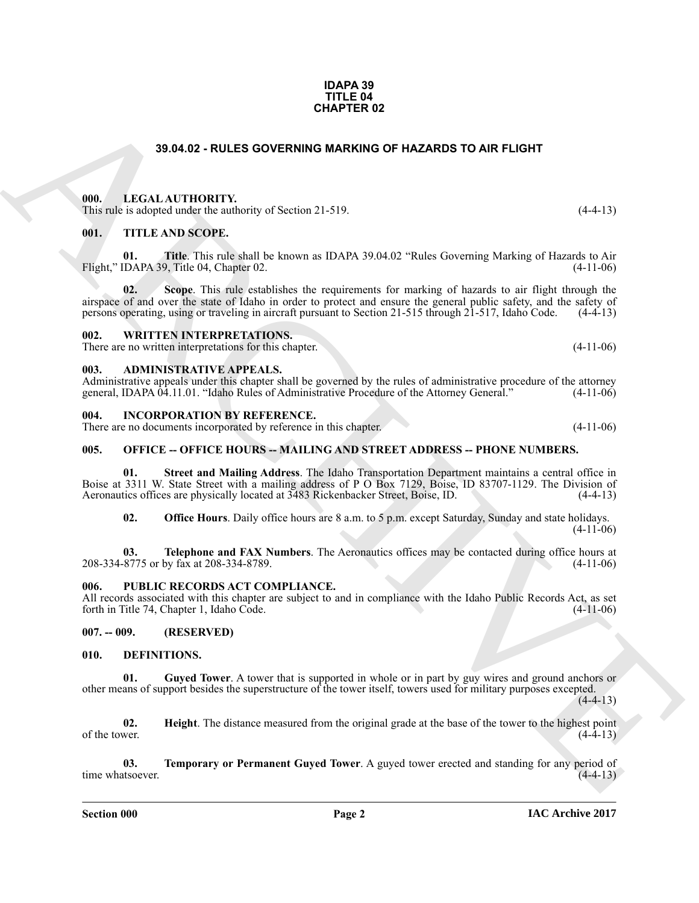#### **IDAPA 39 TITLE 04 CHAPTER 02**

# **39.04.02 - RULES GOVERNING MARKING OF HAZARDS TO AIR FLIGHT**

#### <span id="page-1-1"></span><span id="page-1-0"></span>**000. LEGAL AUTHORITY.**

This rule is adopted under the authority of Section 21-519. (4-4-13)

### <span id="page-1-2"></span>**001. TITLE AND SCOPE.**

**01. Title**. This rule shall be known as IDAPA 39.04.02 "Rules Governing Marking of Hazards to Air Flight," IDAPA 39, Title 04, Chapter 02. (4-11-06)

**02. Scope**. This rule establishes the requirements for marking of hazards to air flight through the airspace of and over the state of Idaho in order to protect and ensure the general public safety, and the safety of persons operating, using or traveling in aircraft pursuant to Section 21-515 through 21-517. Idaho Code. ( persons operating, using or traveling in aircraft pursuant to Section 21-515 through 21-517, Idaho Code.

#### <span id="page-1-3"></span>**002. WRITTEN INTERPRETATIONS.**

There are no written interpretations for this chapter. (4-11-06)

#### <span id="page-1-4"></span>**003. ADMINISTRATIVE APPEALS.**

Administrative appeals under this chapter shall be governed by the rules of administrative procedure of the attorney general, IDAPA 04.11.01. "Idaho Rules of Administrative Procedure of the Attorney General." (4-11-06) general, IDAPA 04.11.01. "Idaho Rules of Administrative Procedure of the Attorney General."

#### <span id="page-1-5"></span>**004. INCORPORATION BY REFERENCE.**

There are no documents incorporated by reference in this chapter. (4-11-06)

#### <span id="page-1-6"></span>**005. OFFICE -- OFFICE HOURS -- MAILING AND STREET ADDRESS -- PHONE NUMBERS.**

33.04.02 - RULES GOVERNING MARKING OF HAZARDS TO AIR FLIGHT<br>
1910. LECAL AUTHORITY.<br>
1911. LECAL AUTHORITY:<br>
1911. THE KAND SCOPE.<br>
1911. THE KAND SCOPE.<br>
1911. THE KAND SCOPE.<br>
1911. THE KAND SCOPE.<br>
1922. The March Scop **01. Street and Mailing Address**. The Idaho Transportation Department maintains a central office in Boise at 3311 W. State Street with a mailing address of P O Box 7129, Boise, ID 83707-1129. The Division of Aeronautics offices are physically located at 3483 Rickenbacker Street, Boise, ID. (4-4-13) Aeronautics offices are physically located at 3483 Rickenbacker Street, Boise, ID.

**02. Office Hours**. Daily office hours are 8 a.m. to 5 p.m. except Saturday, Sunday and state holidays.  $(4-11-06)$ 

**03. Telephone and FAX Numbers**. The Aeronautics offices may be contacted during office hours at  $8775$  or by fax at 208-334-8789. 208-334-8775 or by fax at 208-334-8789.

#### <span id="page-1-7"></span>**006. PUBLIC RECORDS ACT COMPLIANCE.**

All records associated with this chapter are subject to and in compliance with the Idaho Public Records Act, as set forth in Title 74, Chapter 1, Idaho Code. (4-11-06)

### <span id="page-1-8"></span>**007. -- 009. (RESERVED)**

#### <span id="page-1-10"></span><span id="page-1-9"></span>**010. DEFINITIONS.**

<span id="page-1-11"></span>**01. Guyed Tower**. A tower that is supported in whole or in part by guy wires and ground anchors or other means of support besides the superstructure of the tower itself, towers used for military purposes excepted.

 $(4-4-13)$ 

<span id="page-1-12"></span>**02.** Height. The distance measured from the original grade at the base of the tower to the highest point (4-4-13) of the tower.  $(4-4-13)$ 

<span id="page-1-13"></span>**03. Temporary or Permanent Guyed Tower**. A guyed tower erected and standing for any period of time whatsoever. (4-4-13)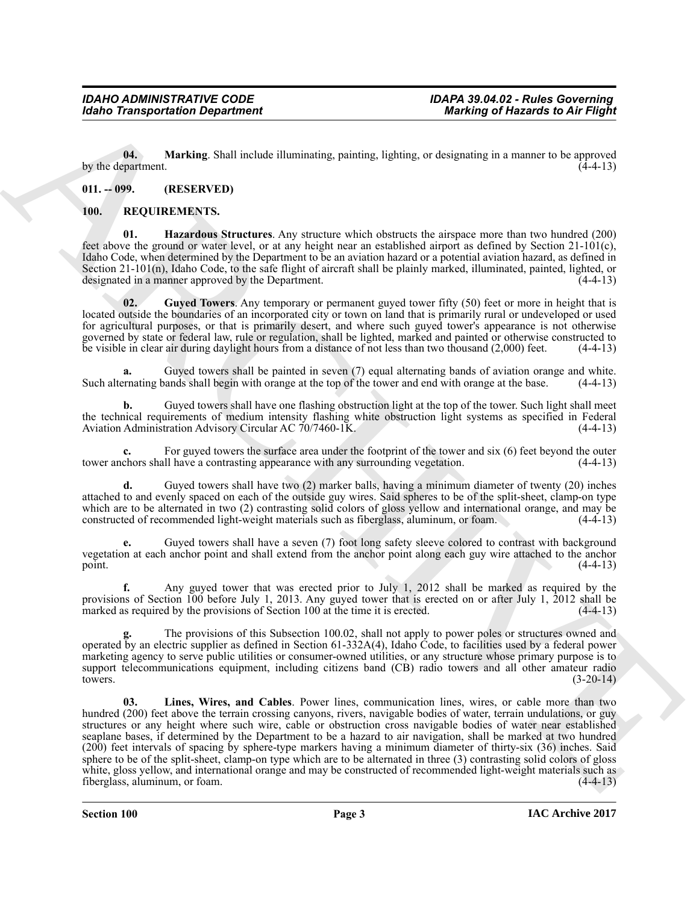<span id="page-2-2"></span>**04. Marking**. Shall include illuminating, painting, lighting, or designating in a manner to be approved by the department.

# <span id="page-2-0"></span>**011. -- 099. (RESERVED)**

## <span id="page-2-5"></span><span id="page-2-3"></span><span id="page-2-1"></span>**100. REQUIREMENTS.**

**01. Hazardous Structures**. Any structure which obstructs the airspace more than two hundred (200) feet above the ground or water level, or at any height near an established airport as defined by Section 21-101(c), Idaho Code, when determined by the Department to be an aviation hazard or a potential aviation hazard, as defined in Section 21-101(n), Idaho Code, to the safe flight of aircraft shall be plainly marked, illuminated, painted, lighted, or designated in a manner approved by the Department.  $(4-4-13)$ designated in a manner approved by the Department.

<span id="page-2-4"></span>**02. Guyed Towers**. Any temporary or permanent guyed tower fifty (50) feet or more in height that is located outside the boundaries of an incorporated city or town on land that is primarily rural or undeveloped or used for agricultural purposes, or that is primarily desert, and where such guyed tower's appearance is not otherwise governed by state or federal law, rule or regulation, shall be lighted, marked and painted or otherwise constructed to be visible in clear air during daylight hours from a distance of not less than two thousand (2,000) feet. (4-4-13)

**a.** Guyed towers shall be painted in seven (7) equal alternating bands of aviation orange and white.<br>
Finating bands shall begin with orange at the top of the tower and end with orange at the base. (4-4-13) Such alternating bands shall begin with orange at the top of the tower and end with orange at the base.

**b.** Guyed towers shall have one flashing obstruction light at the top of the tower. Such light shall meet the technical requirements of medium intensity flashing white obstruction light systems as specified in Federal Aviation Administration Advisory Circular AC 70/7460-1K. (4-4-13)

For guyed towers the surface area under the footprint of the tower and six (6) feet beyond the outer<br>Il have a contrasting appearance with any surrounding vegetation. (4-4-13) tower anchors shall have a contrasting appearance with any surrounding vegetation.

**d.** Guyed towers shall have two (2) marker balls, having a minimum diameter of twenty (20) inches attached to and evenly spaced on each of the outside guy wires. Said spheres to be of the split-sheet, clamp-on type which are to be alternated in two (2) contrasting solid colors of gloss yellow and international orange, and may be constructed of recommended light-weight materials such as fiberglass, aluminum, or foam. (4-4-13) constructed of recommended light-weight materials such as fiberglass, aluminum, or foam.

**e.** Guyed towers shall have a seven (7) foot long safety sleeve colored to contrast with background vegetation at each anchor point and shall extend from the anchor point along each guy wire attached to the anchor point.  $(4-4-13)$ 

**f.** Any guyed tower that was erected prior to July 1, 2012 shall be marked as required by the provisions of Section 100 before July 1, 2013. Any guyed tower that is erected on or after July 1, 2012 shall be marked as required by the provisions of Section 100 at the time it is erected.  $(4-4-13)$ 

<span id="page-2-6"></span>The provisions of this Subsection 100.02, shall not apply to power poles or structures owned and operated by an electric supplier as defined in Section 61-332A(4), Idaho Code, to facilities used by a federal power marketing agency to serve public utilities or consumer-owned utilities, or any structure whose primary purpose is to support telecommunications equipment, including citizens band (CB) radio towers and all other amateur radio towers.  $(3-20-14)$ 

Global Transportation Department<br>
16. The Control of Marchives State Character and Control of Marchives of Associates and the State Character and Control of Marchives State Character and Control of Marchives State Charact **03. Lines, Wires, and Cables**. Power lines, communication lines, wires, or cable more than two hundred (200) feet above the terrain crossing canyons, rivers, navigable bodies of water, terrain undulations, or guy structures or any height where such wire, cable or obstruction cross navigable bodies of water near established seaplane bases, if determined by the Department to be a hazard to air navigation, shall be marked at two hundred (200) feet intervals of spacing by sphere-type markers having a minimum diameter of thirty-six (36) inches. Said sphere to be of the split-sheet, clamp-on type which are to be alternated in three (3) contrasting solid colors of gloss white, gloss yellow, and international orange and may be constructed of recommended light-weight materials such as fiberglass, aluminum, or foam. (4-4-13) fiberglass, aluminum, or foam.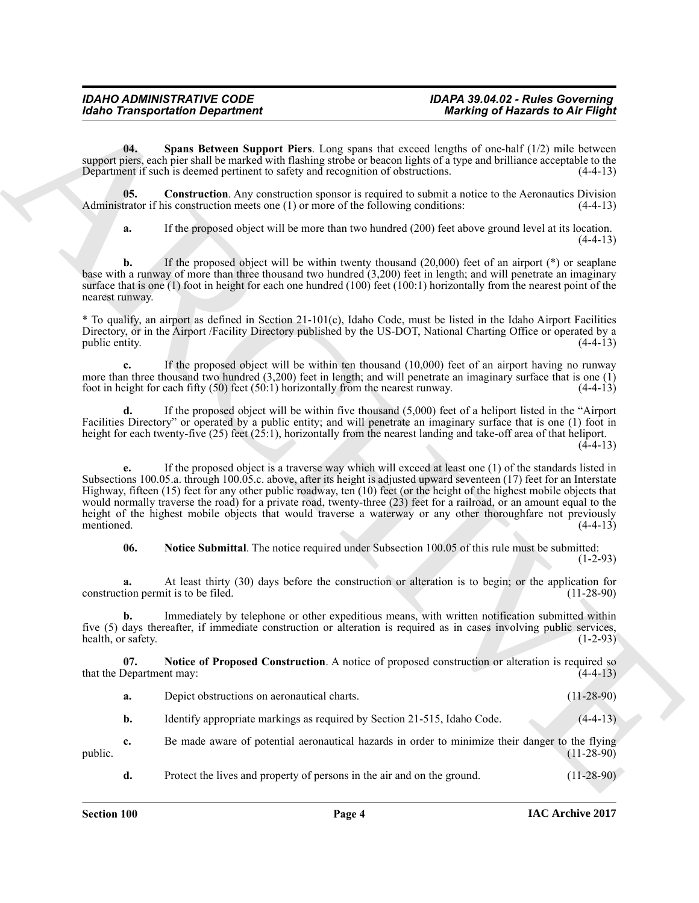#### *IDAHO ADMINISTRATIVE CODE IDAPA 39.04.02 - Rules Governing Idaho Transportation Department Marking of Hazards to Air Flight*

<span id="page-3-3"></span>**04. Spans Between Support Piers**. Long spans that exceed lengths of one-half (1/2) mile between support piers, each pier shall be marked with flashing strobe or beacon lights of a type and brilliance acceptable to the Department if such is deemed pertinent to safety and recognition of obstructions. (4-4-13) Department if such is deemed pertinent to safety and recognition of obstructions.

**05.** Construction. Any construction sponsor is required to submit a notice to the Aeronautics Division trator if his construction meets one (1) or more of the following conditions: (4-4-13) Administrator if his construction meets one  $(1)$  or more of the following conditions:

<span id="page-3-0"></span>**a.** If the proposed object will be more than two hundred (200) feet above ground level at its location.  $(4-4-13)$ 

**b.** If the proposed object will be within twenty thousand (20,000) feet of an airport (\*) or seaplane base with a runway of more than three thousand two hundred (3,200) feet in length; and will penetrate an imaginary surface that is one (1) foot in height for each one hundred (100) feet (100:1) horizontally from the nearest point of the nearest runway.

\* To qualify, an airport as defined in Section 21-101(c), Idaho Code, must be listed in the Idaho Airport Facilities Directory, or in the Airport /Facility Directory published by the US-DOT, National Charting Office or operated by a public entity. (4-4-13)

**c.** If the proposed object will be within ten thousand (10,000) feet of an airport having no runway more than three thousand two hundred (3,200) feet in length; and will penetrate an imaginary surface that is one (1) foot in height for each fifty (50) feet (50:1) horizontally from the nearest runway.  $(4-4-13)$ foot in height for each fifty  $(50)$  feet  $(50.1)$  horizontally from the nearest runway.

**d.** If the proposed object will be within five thousand (5,000) feet of a heliport listed in the "Airport Facilities Directory" or operated by a public entity; and will penetrate an imaginary surface that is one (1) foot in height for each twenty-five (25) feet (25:1), horizontally from the nearest landing and take-off area of that heliport.  $(4-4-13)$ 

Global Transportation Department<br>
Units and power Support Piers, Louis points that concelled to Alter Higher<br>
The state of the matter of the matter of the state and the state and concelled the state of the state of the<br>
D **e.** If the proposed object is a traverse way which will exceed at least one (1) of the standards listed in Subsections 100.05.a. through 100.05.c. above, after its height is adjusted upward seventeen (17) feet for an Interstate Highway, fifteen (15) feet for any other public roadway, ten (10) feet (or the height of the highest mobile objects that would normally traverse the road) for a private road, twenty-three (23) feet for a railroad, or an amount equal to the height of the highest mobile objects that would traverse a waterway or any other thoroughfare not previously mentioned. (4-4-13) mentioned.  $(4-4-13)$ 

<span id="page-3-2"></span>**06. Notice Submittal**. The notice required under Subsection 100.05 of this rule must be submitted: (1-2-93)

**a.** At least thirty (30) days before the construction or alteration is to begin; or the application for tion permit is to be filed. (11-28-90) construction permit is to be filed.

**b.** Immediately by telephone or other expeditious means, with written notification submitted within five (5) days thereafter, if immediate construction or alteration is required as in cases involving public services, health, or safety. (1-2-93) health, or safety.

**07. Notice of Proposed Construction**. A notice of proposed construction or alteration is required so that the Department may: (4-4-13)

<span id="page-3-1"></span>**a.** Depict obstructions on aeronautical charts. (11-28-90)

**b.** Identify appropriate markings as required by Section 21-515, Idaho Code. (4-4-13)

**c.** Be made aware of potential aeronautical hazards in order to minimize their danger to the flying (11-28-90) public.  $(11-28-90)$ 

**d.** Protect the lives and property of persons in the air and on the ground. (11-28-90)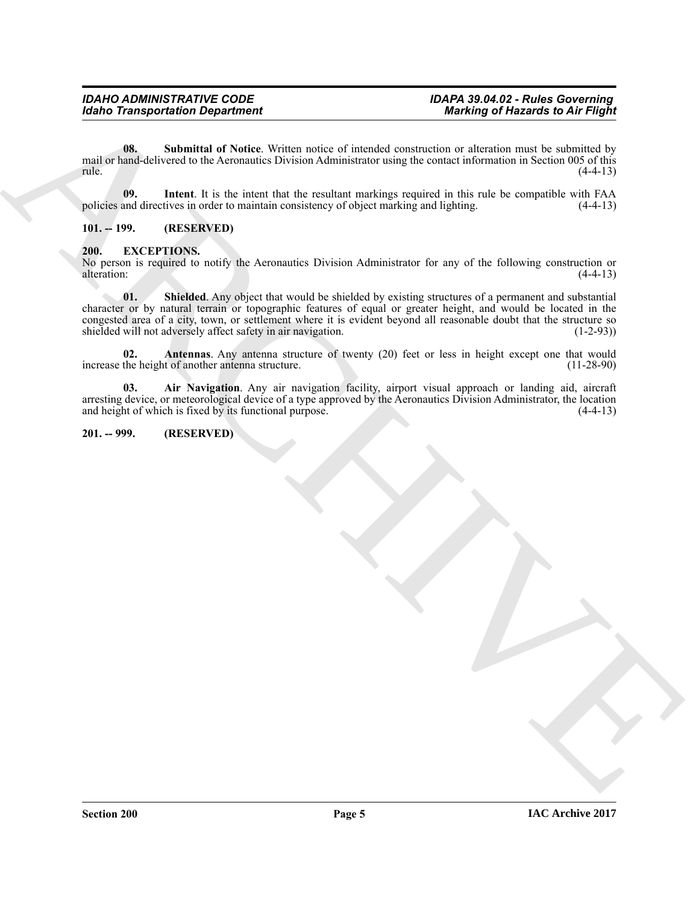<span id="page-4-8"></span>**08.** Submittal of Notice. Written notice of intended construction or alteration must be submitted by mail or hand-delivered to the Aeronautics Division Administrator using the contact information in Section 005 of this  $rule.$  (4-4-13)

<span id="page-4-7"></span>**09.** Intent. It is the intent that the resultant markings required in this rule be compatible with FAA and directives in order to maintain consistency of object marking and lighting. (4-4-13) policies and directives in order to maintain consistency of object marking and lighting.

<span id="page-4-0"></span>**101. -- 199. (RESERVED)**

## <span id="page-4-3"></span><span id="page-4-1"></span>**200. EXCEPTIONS.**

<span id="page-4-6"></span>No person is required to notify the Aeronautics Division Administrator for any of the following construction or alteration: (4-4-13) alteration: (4-4-13)

**Example Transportation Department**<br>
The mail of Northern Archivest Windows of interaction we be constructed in ARCHIVES<br>
The mail of Northern Archivest Windows of the construction of the construction of the solution of t **01. Shielded**. Any object that would be shielded by existing structures of a permanent and substantial character or by natural terrain or topographic features of equal or greater height, and would be located in the congested area of a city, town, or settlement where it is evident beyond all reasonable doubt that the structure so shielded will not adversely affect safety in air navigation. (1-2-93) shielded will not adversely affect safety in air navigation.

<span id="page-4-5"></span>**02.** Antennas. Any antenna structure of twenty (20) feet or less in height except one that would the height of another antenna structure. (11-28-90) increase the height of another antenna structure.

<span id="page-4-4"></span>**03. Air Navigation**. Any air navigation facility, airport visual approach or landing aid, aircraft arresting device, or meteorological device of a type approved by the Aeronautics Division Administrator, the location and height of which is fixed by its functional purpose. (4-4-13)

# <span id="page-4-2"></span>**201. -- 999. (RESERVED)**